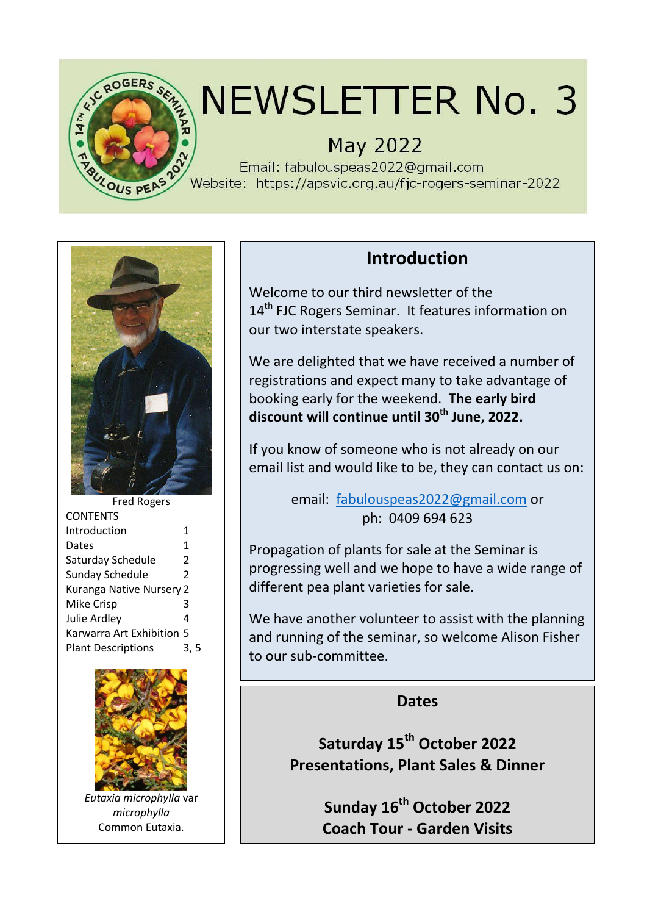

# NEWSLETTER No. 3

## **May 2022**

Email: fabulouspeas2022@gmail.com Website: https://apsvic.org.au/fjc-rogers-seminar-2022



| <b>Fred Rogers</b>        |                |  |
|---------------------------|----------------|--|
| <b>CONTENTS</b>           |                |  |
| Introduction              | 1              |  |
| Dates                     | 1              |  |
| Saturday Schedule         | 2              |  |
| <b>Sunday Schedule</b>    | $\mathfrak{p}$ |  |
| Kuranga Native Nursery 2  |                |  |
| <b>Mike Crisp</b>         | ੨              |  |
| Julie Ardley              | 4              |  |
| Karwarra Art Exhibition 5 |                |  |
| <b>Plant Descriptions</b> |                |  |
|                           |                |  |



*Eutaxia microphylla* var *microphylla* Common Eutaxia.

## **Introduction**

Welcome to our third newsletter of the 14<sup>th</sup> FJC Rogers Seminar. It features information on our two interstate speakers.

We are delighted that we have received a number of registrations and expect many to take advantage of booking early for the weekend. **The early bird discount will continue until 30th June, 2022.**

If you know of someone who is not already on our email list and would like to be, they can contact us on:

> email: [fabulouspeas2022@gmail.com](mailto:fabulouspeas2022@gmail.com) or ph: 0409 694 623

Propagation of plants for sale at the Seminar is progressing well and we hope to have a wide range of different pea plant varieties for sale.

We have another volunteer to assist with the planning and running of the seminar, so welcome Alison Fisher to our sub-committee.

### **Dates**

**Saturday 15th October 2022 Presentations, Plant Sales & Dinner**

> **Sunday 16th October 2022 Coach Tour - Garden Visits**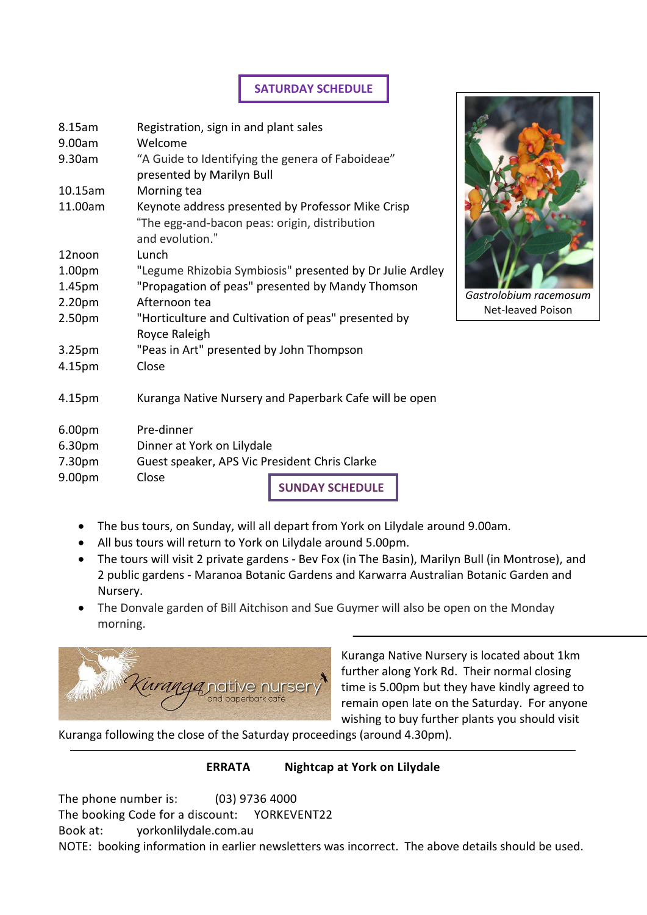### **SATURDAY SCHEDULE**

| 8.15am             | Registration, sign in and plant sales                                                                                 |
|--------------------|-----------------------------------------------------------------------------------------------------------------------|
| 9.00am             | Welcome                                                                                                               |
| 9.30am             | "A Guide to Identifying the genera of Faboideae"<br>presented by Marilyn Bull                                         |
| 10.15am            | Morning tea                                                                                                           |
| 11.00am            | Keynote address presented by Professor Mike Crisp<br>"The egg-and-bacon peas: origin, distribution<br>and evolution." |
| 12noon             | Lunch                                                                                                                 |
| 1.00 <sub>pm</sub> | "Legume Rhizobia Symbiosis" presented by Dr Julie Ardley                                                              |
| 1.45pm             | "Propagation of peas" presented by Mandy Thomson                                                                      |
| 2.20 <sub>pm</sub> | Afternoon tea                                                                                                         |
| 2.50 <sub>pm</sub> | "Horticulture and Cultivation of peas" presented by<br>Royce Raleigh                                                  |
| 3.25pm             | "Peas in Art" presented by John Thompson                                                                              |
| 4.15pm             | Close                                                                                                                 |
| 4.15pm             | Kuranga Native Nursery and Paperbark Cafe will be open                                                                |
| 6.00pm             | Pre-dinner                                                                                                            |
| 6.30pm             | Dinner at York on Lilydale                                                                                            |
| 7.30pm             | Guest speaker, APS Vic President Chris Clarke                                                                         |
| 9.00pm             | Close                                                                                                                 |



*Gastrolobium racemosum* Net-leaved Poison

- The bus tours, on Sunday, will all depart from York on Lilydale around 9.00am.
- All bus tours will return to York on Lilydale around 5.00pm.
- The tours will visit 2 private gardens Bev Fox (in The Basin), Marilyn Bull (in Montrose), and 2 public gardens - Maranoa Botanic Gardens and Karwarra Australian Botanic Garden and Nursery.

**SUNDAY SCHEDULE**

 The Donvale garden of Bill Aitchison and Sue Guymer will also be open on the Monday morning.



Kuranga Native Nursery is located about 1km further along York Rd. Their normal closing time is 5.00pm but they have kindly agreed to remain open late on the Saturday. For anyone wishing to buy further plants you should visit

Kuranga following the close of the Saturday proceedings (around 4.30pm).

#### **ERRATA Nightcap at York on Lilydale**

The phone number is: (03) 9736 4000 The booking Code for a discount: YORKEVENT22 Book at: yorkonlilydale.com.au

NOTE: booking information in earlier newsletters was incorrect. The above details should be used.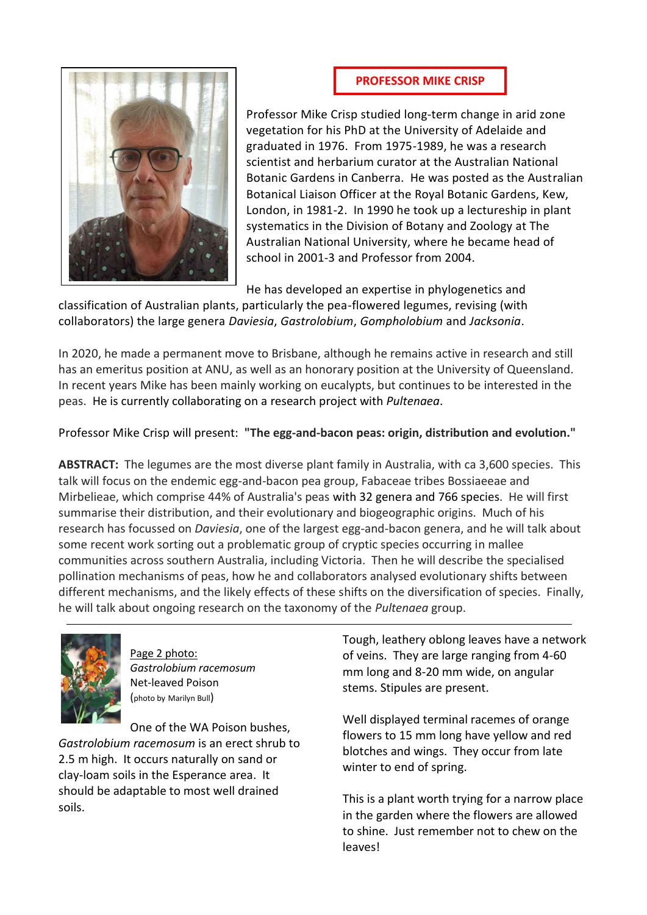#### **PROFESSOR MIKE CRISP**



Professor Mike Crisp studied long-term change in arid zone vegetation for his PhD at the University of Adelaide and graduated in 1976. From 1975-1989, he was a research scientist and herbarium curator at the Australian National Botanic Gardens in Canberra. He was posted as the Australian Botanical Liaison Officer at the Royal Botanic Gardens, Kew, London, in 1981-2. In 1990 he took up a lectureship in plant systematics in the Division of Botany and Zoology at The Australian National University, where he became head of school in 2001-3 and Professor from 2004.

He has developed an expertise in phylogenetics and

classification of Australian plants, particularly the pea-flowered legumes, revising (with collaborators) the large genera *Daviesia*, *Gastrolobium*, *Gompholobium* and *Jacksonia*.

In 2020, he made a permanent move to Brisbane, although he remains active in research and still has an emeritus position at ANU, as well as an honorary position at the University of Queensland. In recent years Mike has been mainly working on eucalypts, but continues to be interested in the peas. He is currently collaborating on a research project with *Pultenaea*.

Professor Mike Crisp will present: **"The egg-and-bacon peas: origin, distribution and evolution."**

**ABSTRACT:** The legumes are the most diverse plant family in Australia, with ca 3,600 species. This talk will focus on the endemic egg-and-bacon pea group, Fabaceae tribes Bossiaeeae and Mirbelieae, which comprise 44% of Australia's peas with 32 genera and 766 species. He will first summarise their distribution, and their evolutionary and biogeographic origins. Much of his research has focussed on *Daviesia*, one of the largest egg-and-bacon genera, and he will talk about some recent work sorting out a problematic group of cryptic species occurring in mallee communities across southern Australia, including Victoria. Then he will describe the specialised pollination mechanisms of peas, how he and collaborators analysed evolutionary shifts between different mechanisms, and the likely effects of these shifts on the diversification of species. Finally, he will talk about ongoing research on the taxonomy of the *Pultenaea* group.



Page 2 photo: *Gastrolobium racemosum* Net-leaved Poison (photo by Marilyn Bull)

One of the WA Poison bushes, *Gastrolobium racemosum* is an erect shrub to 2.5 m high. It occurs naturally on sand or clay-loam soils in the Esperance area. It should be adaptable to most well drained soils.

Tough, leathery oblong leaves have a network of veins. They are large ranging from 4-60 mm long and 8-20 mm wide, on angular stems. Stipules are present.

Well displayed terminal racemes of orange flowers to 15 mm long have yellow and red blotches and wings. They occur from late winter to end of spring.

This is a plant worth trying for a narrow place in the garden where the flowers are allowed to shine. Just remember not to chew on the leaves!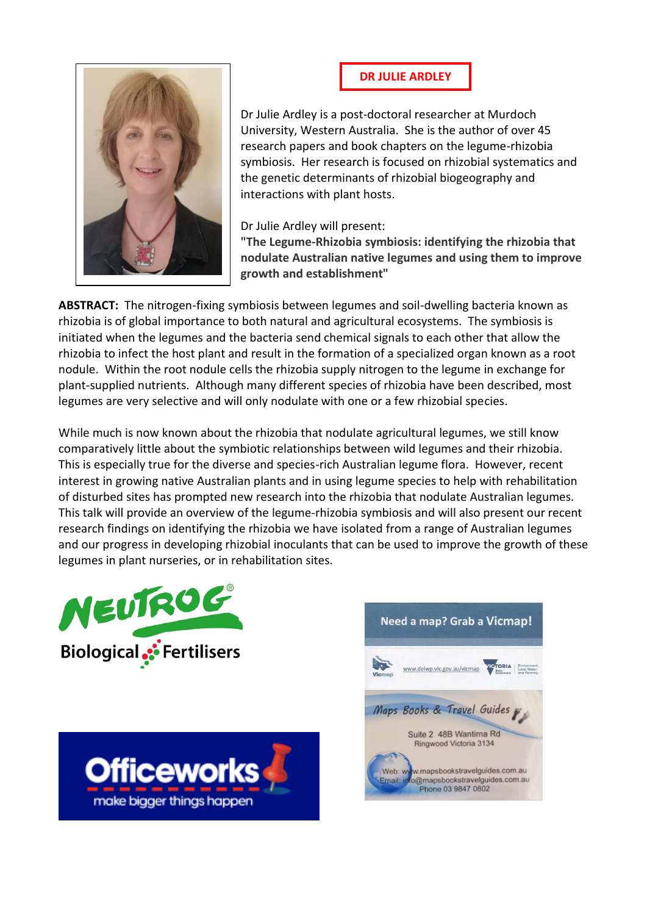



Dr Julie Ardley is a post-doctoral researcher at Murdoch University, Western Australia. She is the author of over 45 research papers and book chapters on the legume-rhizobia symbiosis. Her research is focused on rhizobial systematics and the genetic determinants of rhizobial biogeography and interactions with plant hosts.

Dr Julie Ardley will present:

**"The Legume-Rhizobia symbiosis: identifying the rhizobia that nodulate Australian native legumes and using them to improve growth and establishment"**

**ABSTRACT:** The nitrogen-fixing symbiosis between legumes and soil-dwelling bacteria known as rhizobia is of global importance to both natural and agricultural ecosystems. The symbiosis is initiated when the legumes and the bacteria send chemical signals to each other that allow the rhizobia to infect the host plant and result in the formation of a specialized organ known as a root nodule. Within the root nodule cells the rhizobia supply nitrogen to the legume in exchange for plant-supplied nutrients. Although many different species of rhizobia have been described, most legumes are very selective and will only nodulate with one or a few rhizobial species.

While much is now known about the rhizobia that nodulate agricultural legumes, we still know comparatively little about the symbiotic relationships between wild legumes and their rhizobia. This is especially true for the diverse and species-rich Australian legume flora. However, recent interest in growing native Australian plants and in using legume species to help with rehabilitation of disturbed sites has prompted new research into the rhizobia that nodulate Australian legumes. This talk will provide an overview of the legume-rhizobia symbiosis and will also present our recent research findings on identifying the rhizobia we have isolated from a range of Australian legumes and our progress in developing rhizobial inoculants that can be used to improve the growth of these legumes in plant nurseries, or in rehabilitation sites.